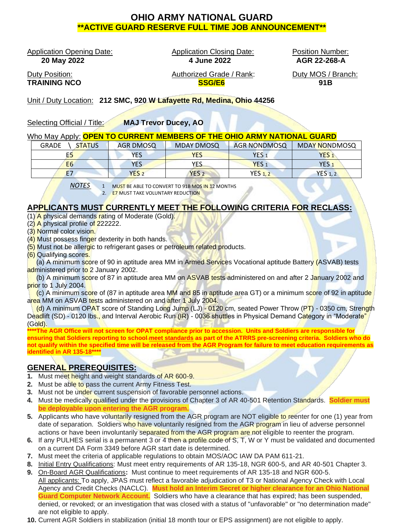# **OHIO ARMY NATIONAL GUARD \*\*ACTIVE GUARD RESERVE FULL TIME JOB ANNOUNCEMENT\*\***

Application Opening Date: Application Closing Date: Position Number:

 **20 May 2022 4 June 2022 AGR 22-268-A**

Duty Position: Authorized Grade / Rank: Duty MOS / Branch: **TRAINING NCO SSG/E6 91B**

Unit / Duty Location: **212 SMC, 920 W Lafayette Rd, Medina, Ohio 44256**

Selecting Official / Title: **MAJ Trevor Ducey, AO**

### Who May Apply: **OPEN TO CURRENT MEMBERS OF THE OHIO ARMY NATIONAL GUARD**

| <b>GRADE</b><br><b>STATUS</b> | AGR DMOSQ        | <b>MDAY DMOSQ</b> | <b>AGR NONDMOSQ</b> | <b>MDAY NONDMOSQ</b> |
|-------------------------------|------------------|-------------------|---------------------|----------------------|
| E5                            | YES              | <b>YES</b>        | YES,                | YES.                 |
| E <sub>6</sub>                | YES              | YES               | YES <sub>1</sub>    | YES <sub>1</sub>     |
| <b>E7</b>                     | YES <sub>2</sub> | YES <sub>2</sub>  | <b>YES 1.2</b>      | <b>YES 1, 2</b>      |

*NOTES* 1 MUST BE ABLE TO CONVERT TO 91B MOS IN 12 MONTHS

2. E7 MUST TAKE VOLUNTARY REDUCTION

# **APPLICANTS MUST CURRENTLY MEET THE FOLLOWING CRITERIA FOR RECLASS:**

- (1) A physical demands rating of Moderate (Gold).
- $(2)$  A physical profile of 222222.
- (3) Normal color vision.
- (4) Must possess finger dexterity in both hands.
- (5) Must not be allergic to refrigerant gases or petroleum related products.
- (6) Qualifying scores.

(a) A minimum score of 90 in aptitude area MM in Armed Services Vocational aptitude Battery (ASVAB) tests administered prior to 2 January 2002.

(b) A minimum score of 87 in aptitude area MM on ASVAB tests administered on and after 2 January 2002 and prior to 1 July 2004.

(c) A minimum score of (87 in aptitude area MM and 85 in aptitude area GT) or a minimum score of 92 in aptitude area MM on ASVAB tests administered on and after 1 July 2004.

(d) A minimum OPAT score of Standing Long Jump (LJ) - 0120 cm, seated Power Throw (PT) - 0350 cm, Strength Deadlift (SD) - 0120 lbs., and Interval Aerobic Run (IR) - 0036 shuttles in Physical Demand Category in "Moderate" (Gold).

The AGR Office will not screen for OPAT compliance prior to accession. Units and Soldiers are responsible for **ensuring that Soldiers reporting to school meet standards as part of the ATRRS pre-screening criteria. Soldiers who do not qualify within the specified time will be released from the AGR Program for failure to meet education requirements as identified in AR 135-18\*\*\*\***

## **GENERAL PREREQUISITES:**

- **1.** Must meet height and weight standards of AR 600-9.
- **2.** Must be able to pass the current Army Fitness Test.
- **3.** Must not be under current suspension of favorable personnel actions.
- **4.** Must be medically qualified under the provisions of Chapter 3 of AR 40-501 Retention Standards. **Soldier must be deployable upon entering the AGR program.**
- **5.** Applicants who have voluntarily resigned from the AGR program are NOT eligible to reenter for one (1) year from date of separation. Soldiers who have voluntarily resigned from the AGR program in lieu of adverse personnel actions or have been involuntarily separated from the AGR program are not eligible to reenter the program.
- **6.** If any PULHES serial is a permanent 3 or 4 then a profile code of S, T, W or Y must be validated and documented on a current DA Form 3349 before AGR start date is determined.
- **7.** Must meet the criteria of applicable regulations to obtain MOS/AOC IAW DA PAM 611-21.
- **8.** Initial Entry Qualifications: Must meet entry requirements of AR 135-18, NGR 600-5, and AR 40-501 Chapter 3.
- **9.** On-Board AGR Qualifications**:** Must continue to meet requirements of AR 135-18 and NGR 600-5. All applicants: To apply, JPAS must reflect a favorable adjudication of T3 or National Agency Check with Local Agency and Credit Checks (NACLC). **Must hold an Interim Secret or higher clearance for an Ohio National Guard Computer Network Account.** Soldiers who have a clearance that has expired; has been suspended, denied, or revoked; or an investigation that was closed with a status of "unfavorable" or "no determination made" are not eligible to apply.
- **10.** Current AGR Soldiers in stabilization (initial 18 month tour or EPS assignment) are not eligible to apply.